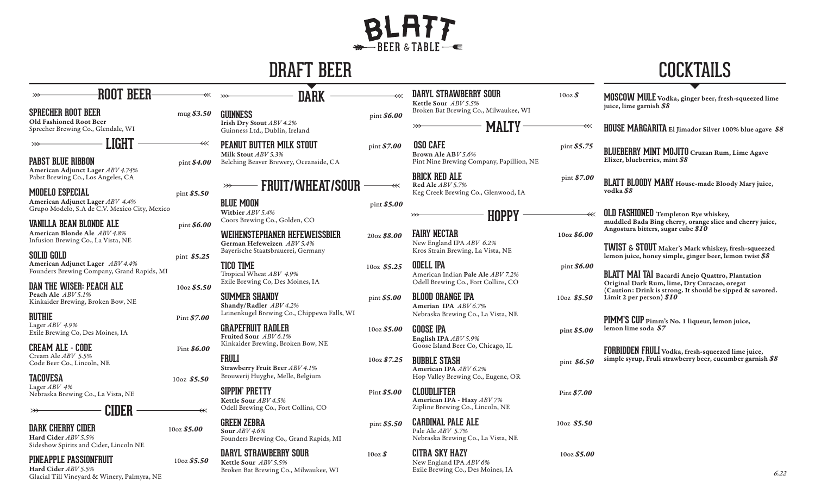## BLATT

|                                                                                                      | <b>COCKTAILS</b>                   |                                                                                                                      |                         |                                                                                               |                |                                                                                                                                                                         |
|------------------------------------------------------------------------------------------------------|------------------------------------|----------------------------------------------------------------------------------------------------------------------|-------------------------|-----------------------------------------------------------------------------------------------|----------------|-------------------------------------------------------------------------------------------------------------------------------------------------------------------------|
| <b>ROOT BEER-</b><br><b>SPRECHER ROOT BEER</b>                                                       | mug \$3.50                         | <b>DARK</b><br><b>GUINNESS</b>                                                                                       | pint \$6.00             | <b>DARYL STRAWBERRY SOUR</b><br>Kettle Sour ABV 5.5%<br>Broken Bat Brewing Co., Milwaukee, WI | $10oz\$        | MOSCOW MULE Vodka, ginger beer, fresh-squeezed lime<br>juice, lime garnish \$8                                                                                          |
| Old Fashioned Root Beer<br>Sprecher Brewing Co., Glendale, WI                                        |                                    | Irish Dry Stout ABV 4.2%<br>Guinness Ltd., Dublin, Ireland                                                           |                         | <b>MALTY</b>                                                                                  |                | HOUSE MARGARITA El Jimador Silver 100% blue agave \$8                                                                                                                   |
| LIGHT<br><b>PABST BLUE RIBBON</b>                                                                    | $\ll$<br>pint \$4.00               | PEANUT BUTTER MILK STOUT<br>Milk Stout ABV 5.3%<br>Belching Beaver Brewery, Oceanside, CA                            | pint \$7.00             | <b>OSO CAFE</b><br>Brown Ale ABV 5.6%<br>Pint Nine Brewing Company, Papillion, NE             | pint \$5.75    | <b>BLUEBERRY MINT MOJITO</b> Cruzan Rum, Lime Agave<br>Elixer, blueberries, mint \$8                                                                                    |
| American Adjunct Lager ABV 4.74%<br>Pabst Brewing Co., Los Angeles, CA<br>MODELO ESPECIAL            | pint \$5.50                        | <b>FRUIT/WHEAT/SOUR</b><br>$\gg$                                                                                     | $\ll$                   | <b>BRICK RED ALE</b><br>Red Ale ABV 5.7%<br>Keg Creek Brewing Co., Glenwood, IA               | pint \$7.00    | BLATT BLOODY MARY House-made Bloody Mary juice,<br>vodka \$8                                                                                                            |
| American Adjunct Lager ABV 4.4%<br>Grupo Modelo, S.A de C.V. Mexico City, Mexico                     |                                    | <b>BLUE MOON</b><br>Witbier ABV 5.4%                                                                                 | pint \$5.00             | <b>HOPPY</b>                                                                                  |                | <b>OLD FASHIONED</b> Templeton Rye whiskey,                                                                                                                             |
| <b>VANILLA BEAN BLONDE ALE</b><br>American Blonde Ale ABV 4.8%<br>Infusion Brewing Co., La Vista, NE | pint \$6.00                        | Coors Brewing Co., Golden, CO<br>WEIHENSTEPHANER HEFEWEISSBIER<br>German Hefeweizen ABV 5.4%                         | 20oz \$8.00             | <b>FAIRY NECTAR</b><br>New England IPA ABV 6.2%                                               | 10oz \$6.00    | muddled Bada Bing cherry, orange slice and cherry juice,<br>Angostura bitters, sugar cube \$10                                                                          |
| <b>SOLID GOLD</b><br>American Adjunct Lager ABV 4.4%<br>Founders Brewing Company, Grand Rapids, MI   | pint \$5.25                        | Bayerische Staatsbrauerei, Germany<br><b>TICO TIME</b><br>Tropical Wheat ABV 4.9%                                    | 10oz $$5.25$            | Kros Strain Brewing, La Vista, NE<br><b>ODELL IPA</b><br>American Indian Pale Ale ABV 7.2%    | pint \$6.00    | TWIST & STOUT Maker's Mark whiskey, fresh-squeezed<br>lemon juice, honey simple, ginger beer, lemon twist \$8<br><b>BLATT MAI TAI</b> Bacardi Anejo Quattro, Plantation |
| <b>DAN THE WISER: PEACH ALE</b><br>Peach Ale ABV 5.1%<br>Kinkaider Brewing, Broken Bow, NE           | 10oz \$5.50                        | Exile Brewing Co, Des Moines, IA<br><b>SUMMER SHANDY</b>                                                             | pint \$5.00             | Odell Brewing Co., Fort Collins, CO<br><b>BLOOD ORANGE IPA</b>                                | 10oz \$5.50    | Original Dark Rum, lime, Dry Curacao, oregat<br>(Caution: Drink is strong. It should be sipped & savored.<br>Limit 2 per person) $$10$                                  |
| <b>RUTHIE</b><br>Lager ABV 4.9%<br>Exile Brewing Co, Des Moines, IA                                  | Pint \$7.00                        | Shandy/Radler ABV 4.2%<br>Leinenkugel Brewing Co., Chippewa Falls, WI<br><b>GRAPEFRUIT RADLER</b>                    | 10oz \$5.00             | Amerian IPA ABV 6.7%<br>Nebraska Brewing Co., La Vista, NE<br><b>GOOSE IPA</b>                | pint \$5.00    | PIMM'S CUP Pimm's No. 1 liqueur, lemon juice,<br>lemon lime soda \$7                                                                                                    |
| <b>CREAM ALE - CODE</b><br>Cream Ale ABV 5.5%                                                        | Pint \$6.00                        | Fruited Sour ABV 6.1%<br>Kinkaider Brewing, Broken Bow, NE<br><b>FRULI</b>                                           | 10 <sub>oz</sub> \$7.25 | English IPA ABV 5.9%<br>Goose Island Beer Co, Chicago, IL<br><b>BUBBLE STASH</b>              |                | FORBIDDEN FRULI Vodka, fresh-squeezed lime juice,<br>simple syrup, Fruli strawberry beer, cucumber garnish \$8                                                          |
| Code Beer Co., Lincoln, NE<br><b>TACOVESA</b>                                                        | $10oz$ \$5.50                      | Strawberry Fruit Beer ABV 4.1%<br>Brouwerij Huyghe, Melle, Belgium                                                   |                         | American IPA ABV 6.2%<br>Hop Valley Brewing Co., Eugene, OR                                   | pint \$6.50    |                                                                                                                                                                         |
| Lager ABV 4%<br>Nebraska Brewing Co., La Vista, NE                                                   |                                    | <b>SIPPIN' PRETTY</b><br>Kettle Sour ABV 4.5%                                                                        | Pint \$5.00             | <b>CLOUDLIFTER</b><br>American IPA - Hazy ABV 7%<br>Zipline Brewing Co., Lincoln, NE          | Pint \$7.00    |                                                                                                                                                                         |
| CIDER<br><b>DARK CHERRY CIDER</b><br>Hard Cider ABV 5.5%<br>Sideshow Spirits and Cider, Lincoln NE   | $\overline{\ll}$<br>$10oz$$ \$5.00 | Odell Brewing Co., Fort Collins, CO<br><b>GREEN ZEBRA</b><br>Sour ABV 4.6%<br>Founders Brewing Co., Grand Rapids, MI | pint \$5.50             | <b>CARDINAL PALE ALE</b><br>Pale Ale ABV 5.7%<br>Nebraska Brewing Co., La Vista, NE           | $10oz$ \$5.50  |                                                                                                                                                                         |
| PINEAPPLE PASSIONFRUIT                                                                               | 10oz\$ 5.50                        | <b>DARYL STRAWBERRY SOUR</b><br>Kettle Sour ABV 5.5%                                                                 | $10oz\$                 | <b>CITRA SKY HAZY</b><br>New England IPA ABV 6%                                               | $10oz$$ \$5.00 |                                                                                                                                                                         |

Broken Bat Brewing Co., Milwaukee, WI

Exile Brewing Co., Des Moines, IA

Hard Cider *ABV 5.5%*  Glacial Till Vineyard & Winery, Palmyra, NE

6.22